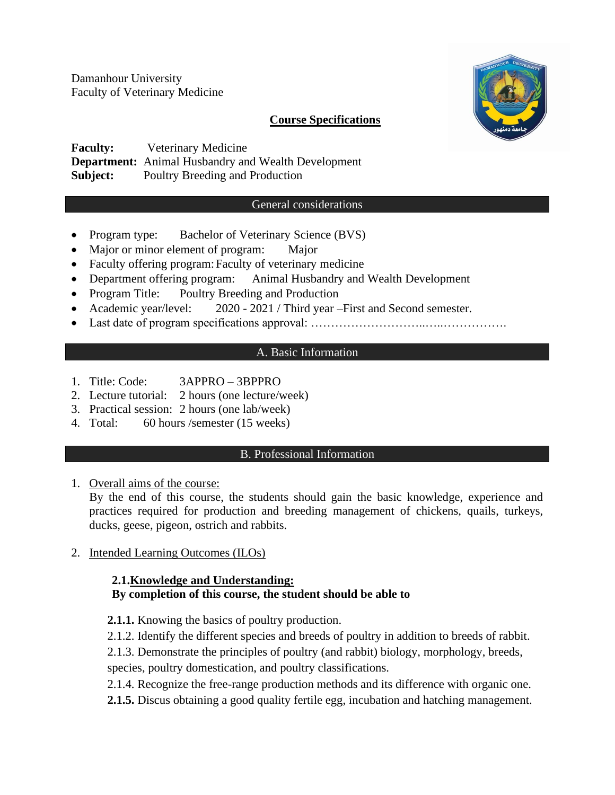Damanhour University Faculty of Veterinary Medicine

## **Course Specifications**



**Faculty:** Veterinary Medicine **Department:** Animal Husbandry and Wealth Development **Subject:** Poultry Breeding and Production

### General considerations

- Program type: Bachelor of Veterinary Science (BVS)
- Major or minor element of program: Major
- Faculty offering program: Faculty of veterinary medicine
- Department offering program: Animal Husbandry and Wealth Development
- Program Title: Poultry Breeding and Production
- Academic year/level: 2020 2021 / Third year First and Second semester.
- Last date of program specifications approval: ……………………………………………………………………………………………

### A. Basic Information

- 1. Title: Code: 3APPRO 3BPPRO
- 2. Lecture tutorial: 2 hours (one lecture/week)
- 3. Practical session: 2 hours (one lab/week)
- 4. Total: 60 hours /semester (15 weeks)

### B. Professional Information

1. Overall aims of the course:

By the end of this course, the students should gain the basic knowledge, experience and practices required for production and breeding management of chickens, quails, turkeys, ducks, geese, pigeon, ostrich and rabbits.

2. Intended Learning Outcomes (ILOs)

# **2.1.Knowledge and Understanding: By completion of this course, the student should be able to**

- **2.1.1.** Knowing the basics of poultry production.
- 2.1.2. Identify the different species and breeds of poultry in addition to breeds of rabbit.

2.1.3. Demonstrate the principles of poultry (and rabbit) biology, morphology, breeds,

species, poultry domestication, and poultry classifications.

2.1.4. Recognize the free-range production methods and its difference with organic one.

**2.1.5.** Discus obtaining a good quality fertile egg, incubation and hatching management.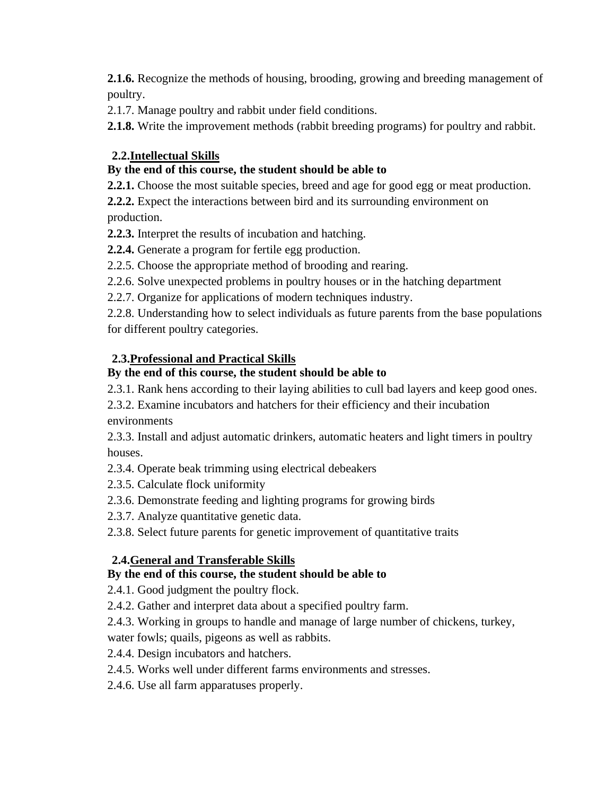**2.1.6.** Recognize the methods of housing, brooding, growing and breeding management of poultry.

2.1.7. Manage poultry and rabbit under field conditions.

**2.1.8.** Write the improvement methods (rabbit breeding programs) for poultry and rabbit.

## **2.2.Intellectual Skills**

# **By the end of this course, the student should be able to**

**2.2.1.** Choose the most suitable species, breed and age for good egg or meat production.

**2.2.2.** Expect the interactions between bird and its surrounding environment on production.

**2.2.3.** Interpret the results of incubation and hatching.

**2.2.4.** Generate a program for fertile egg production.

2.2.5. Choose the appropriate method of brooding and rearing.

2.2.6. Solve unexpected problems in poultry houses or in the hatching department

2.2.7. Organize for applications of modern techniques industry.

2.2.8. Understanding how to select individuals as future parents from the base populations for different poultry categories.

# **2.3.Professional and Practical Skills**

# **By the end of this course, the student should be able to**

2.3.1. Rank hens according to their laying abilities to cull bad layers and keep good ones.

2.3.2. Examine incubators and hatchers for their efficiency and their incubation environments

2.3.3. Install and adjust automatic drinkers, automatic heaters and light timers in poultry houses.

2.3.4. Operate beak trimming using electrical debeakers

- 2.3.5. Calculate flock uniformity
- 2.3.6. Demonstrate feeding and lighting programs for growing birds
- 2.3.7. Analyze quantitative genetic data.

2.3.8. Select future parents for genetic improvement of quantitative traits

# **2.4.General and Transferable Skills**

# **By the end of this course, the student should be able to**

2.4.1. Good judgment the poultry flock.

- 2.4.2. Gather and interpret data about a specified poultry farm.
- 2.4.3. Working in groups to handle and manage of large number of chickens, turkey,

water fowls; quails, pigeons as well as rabbits.

- 2.4.4. Design incubators and hatchers.
- 2.4.5. Works well under different farms environments and stresses.
- 2.4.6. Use all farm apparatuses properly.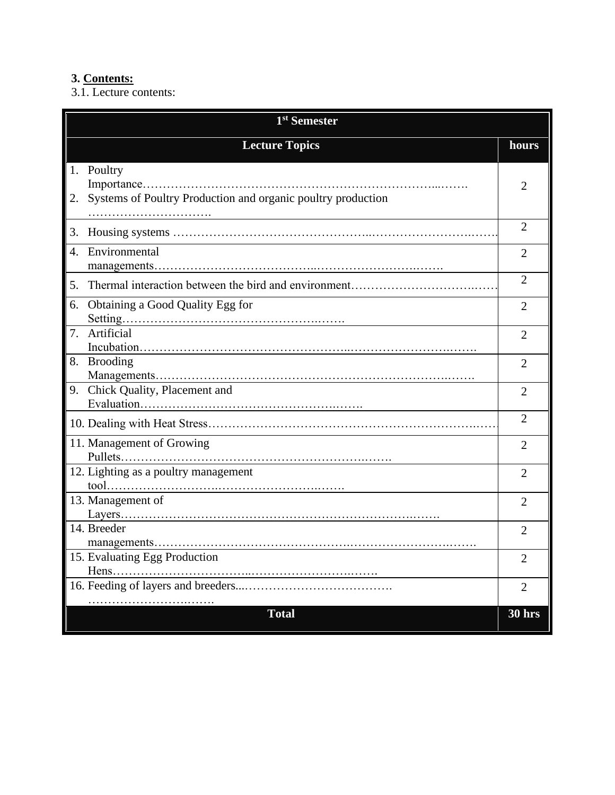# **3. Contents:**

3.1. Lecture contents:

| 1 <sup>st</sup> Semester |                                                                            |                |
|--------------------------|----------------------------------------------------------------------------|----------------|
|                          | <b>Lecture Topics</b>                                                      | hours          |
| 2.                       | 1. Poultry<br>Systems of Poultry Production and organic poultry production | 2              |
| 3.                       |                                                                            | $\overline{2}$ |
| 4.                       | Environmental                                                              | $\overline{2}$ |
| 5.                       |                                                                            | $\overline{2}$ |
| 6.                       | Obtaining a Good Quality Egg for                                           | $\overline{2}$ |
| 7.                       | Artificial                                                                 | $\overline{2}$ |
|                          | 8. Brooding                                                                | $\overline{2}$ |
|                          | 9. Chick Quality, Placement and                                            | $\overline{2}$ |
|                          |                                                                            | $\overline{2}$ |
|                          | 11. Management of Growing                                                  | 2              |
|                          | 12. Lighting as a poultry management                                       | $\overline{2}$ |
|                          | 13. Management of                                                          | 2              |
|                          | 14. Breeder                                                                | $\overline{2}$ |
|                          | 15. Evaluating Egg Production                                              | $\overline{2}$ |
|                          |                                                                            | $\overline{2}$ |
|                          | <b>Total</b>                                                               | <b>30 hrs</b>  |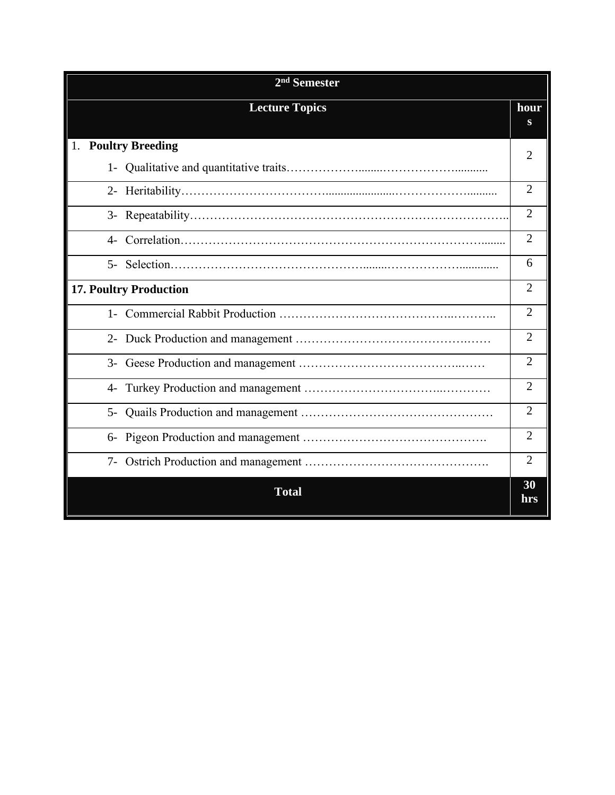| $2nd$ Semester                |                |  |
|-------------------------------|----------------|--|
| <b>Lecture Topics</b>         | hour<br>S      |  |
| 1. Poultry Breeding           |                |  |
|                               | 2              |  |
|                               | $\overline{2}$ |  |
|                               | $\overline{2}$ |  |
| $\mathcal{A}$                 | $\overline{2}$ |  |
| $5-$                          | 6              |  |
| <b>17. Poultry Production</b> | $\overline{2}$ |  |
|                               | $\overline{2}$ |  |
|                               | $\overline{2}$ |  |
| $3-$                          | $\overline{2}$ |  |
| $4-$                          | $\overline{2}$ |  |
| 5-                            | $\overline{2}$ |  |
| $6-$                          | $\overline{2}$ |  |
|                               | $\overline{2}$ |  |
| <b>Total</b>                  | 30<br>hrs      |  |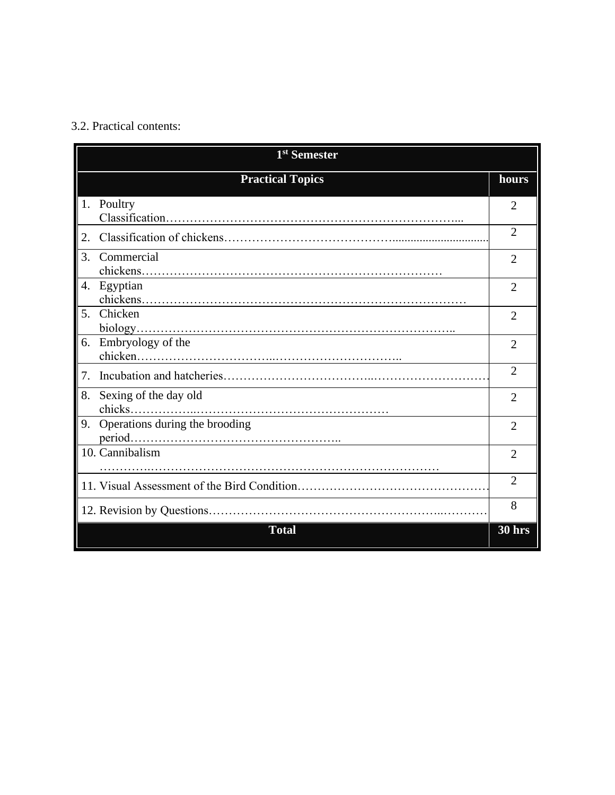### 3.2. Practical contents:

| 1 <sup>st</sup> Semester             |                             |  |
|--------------------------------------|-----------------------------|--|
| <b>Practical Topics</b>              | hours                       |  |
| 1. Poultry                           | 2                           |  |
| 2.                                   | $\overline{2}$              |  |
| 3.<br>Commercial                     | $\mathfrak{D}$              |  |
| Egyptian<br>4.                       | $\overline{2}$              |  |
| Chicken<br>5.                        | $\overline{2}$              |  |
| 6.<br>Embryology of the              | $\overline{2}$              |  |
| 7.                                   | $\overline{2}$              |  |
| 8.<br>Sexing of the day old          | $\mathcal{D}_{\mathcal{L}}$ |  |
| Operations during the brooding<br>9. | $\overline{2}$              |  |
| 10. Cannibalism                      | $\overline{2}$              |  |
|                                      | $\overline{2}$              |  |
|                                      | 8                           |  |
| <b>Total</b>                         | 30 hrs                      |  |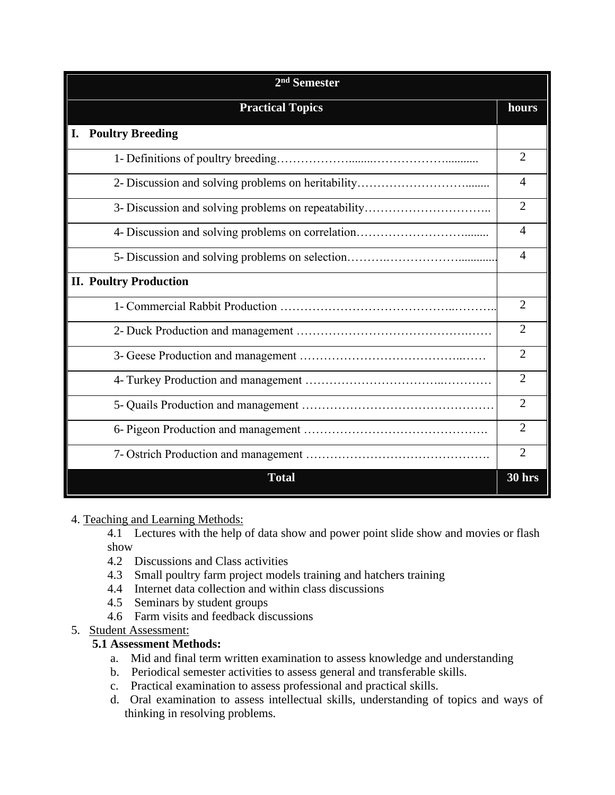| $2nd$ Semester                                      |                |  |  |
|-----------------------------------------------------|----------------|--|--|
| <b>Practical Topics</b>                             | hours          |  |  |
| <b>Poultry Breeding</b><br>I.                       |                |  |  |
|                                                     | $\overline{2}$ |  |  |
|                                                     | $\overline{A}$ |  |  |
| 3- Discussion and solving problems on repeatability | $\overline{2}$ |  |  |
|                                                     | $\overline{4}$ |  |  |
|                                                     | $\overline{A}$ |  |  |
| <b>II. Poultry Production</b>                       |                |  |  |
|                                                     | $\overline{2}$ |  |  |
|                                                     | $\overline{2}$ |  |  |
|                                                     | $\overline{2}$ |  |  |
|                                                     | $\overline{2}$ |  |  |
|                                                     | $\overline{2}$ |  |  |
|                                                     | $\overline{2}$ |  |  |
|                                                     | $\overline{2}$ |  |  |
| <b>Total</b>                                        | 30 hrs         |  |  |

4. Teaching and Learning Methods:

4.1 Lectures with the help of data show and power point slide show and movies or flash show

- 4.2 Discussions and Class activities
- 4.3 Small poultry farm project models training and hatchers training
- 4.4 Internet data collection and within class discussions
- 4.5 Seminars by student groups
- 4.6 Farm visits and feedback discussions
- 5. Student Assessment:

#### **5.1 Assessment Methods:**

- a. Mid and final term written examination to assess knowledge and understanding
- b. Periodical semester activities to assess general and transferable skills.
- c. Practical examination to assess professional and practical skills.
- d. Oral examination to assess intellectual skills, understanding of topics and ways of thinking in resolving problems.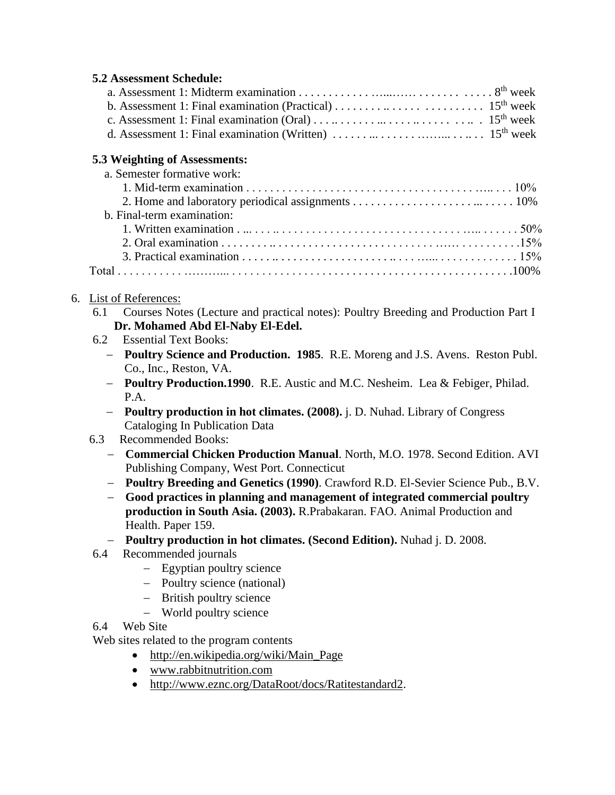### **5.2 Assessment Schedule:**

| d. Assessment 1: Final examination (Written) $\dots \dots \dots \dots \dots \dots \dots \dots \dots \dots \dots \dots 15^{th}$ week |  |
|-------------------------------------------------------------------------------------------------------------------------------------|--|

### **5.3 Weighting of Assessments:**

| a. Semester formative work: |  |
|-----------------------------|--|
|                             |  |
|                             |  |
| b. Final-term examination:  |  |
|                             |  |
|                             |  |
|                             |  |
|                             |  |
|                             |  |

### 6. List of References:

- 6.1 Courses Notes (Lecture and practical notes): Poultry Breeding and Production Part I **Dr. Mohamed Abd El-Naby El-Edel.**
- 6.2 Essential Text Books:
	- − **Poultry Science and Production. 1985**. R.E. Moreng and J.S. Avens. Reston Publ. Co., Inc., Reston, VA.
	- − **Poultry Production.1990**. R.E. Austic and M.C. Nesheim. Lea & Febiger, Philad. P.A.
	- − **Poultry production in hot climates. (2008).** j. D. Nuhad. Library of Congress Cataloging In Publication Data

### 6.3 Recommended Books:

- − **Commercial Chicken Production Manual**. North, M.O. 1978. Second Edition. AVI Publishing Company, West Port. Connecticut
- − **Poultry Breeding and Genetics (1990)**. Crawford R.D. El-Sevier Science Pub., B.V.
- − **Good practices in planning and management of integrated commercial poultry production in South Asia. (2003).** R.Prabakaran. FAO. Animal Production and Health. Paper 159.
- − **Poultry production in hot climates. (Second Edition).** Nuhad j. D. 2008.
- 6.4 Recommended journals
	- − Egyptian poultry science
	- − Poultry science (national)
	- − British poultry science
	- − World poultry science
- 6.4 Web Site

Web sites related to the program contents

- [http://en.wikipedia.org/wiki/Main\\_Page](http://en.wikipedia.org/wiki/Main_Page)
- [www.rabbitnutrition.com](http://www.rabbitnutrition.com/)
- [http://www.eznc.org/DataRoot/docs/Ratitestandard2.](http://www.eznc.org/DataRoot/docs/Ratitestandard2)